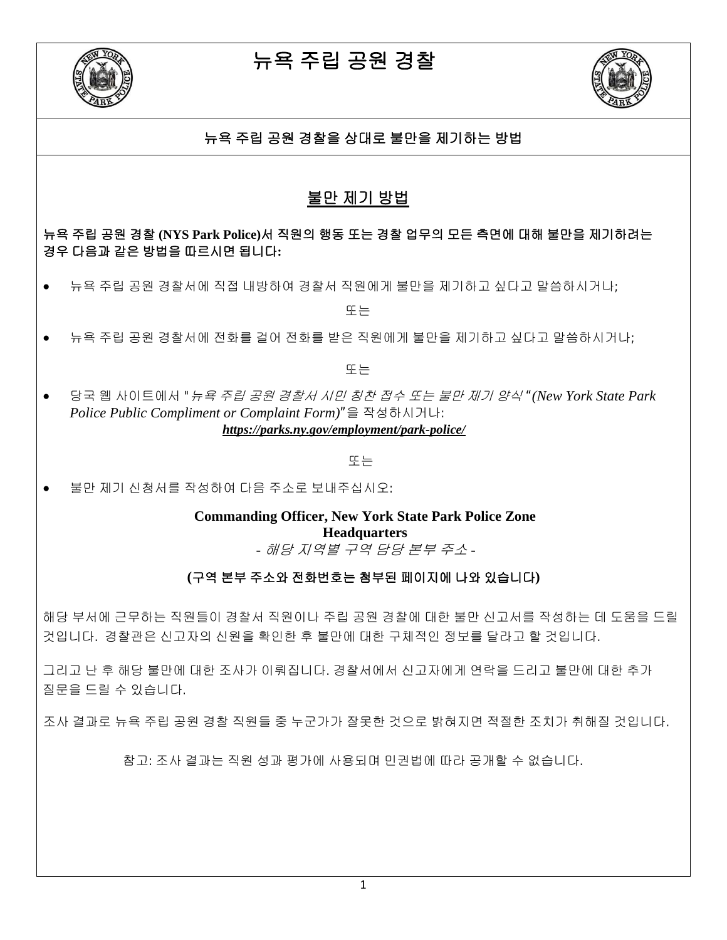



### 뉴욕 주립 공원 경찰을 상대로 불만을 제기하는 방법

## 불만 제기 방법

뉴욕 주립 공원 경찰 **(NYS Park Police)**서 직원의 행동 또는 경찰 업무의 모든 측면에 대해 불만을 제기하려는 경우 다음과 같은 방법을 따르시면 됩니다**:**

• 뉴욕 주립 공원 경찰서에 직접 내방하여 경찰서 직원에게 불만을 제기하고 싶다고 말씀하시거나;

또는

• 뉴욕 주립 공원 경찰서에 전화를 걸어 전화를 받은 직원에게 불만을 제기하고 싶다고 말씀하시거나;

또는

• 당국 웹 사이트에서 "뉴욕 주립 공원 경찰서 시민 칭찬 접수 또는 불만 제기 양식 "*(New York State Park Police Public Compliment or Complaint Form)*"을 작성하시거나: *https://parks.ny.gov/employment/park-police/*

또는

• 불만 제기 신청서를 작성하여 다음 주소로 보내주십시오:

**Commanding Officer, New York State Park Police Zone Headquarters** *-* 해당 지역별 구역 담당 본부 주소 *-*

### **(**구역 본부 주소와 전화번호는 첨부된 페이지에 나와 있습니다**)**

해당 부서에 근무하는 직원들이 경찰서 직원이나 주립 공원 경찰에 대한 불만 신고서를 작성하는 데 도움을 드릴 것입니다. 경찰관은 신고자의 신원을 확인한 후 불만에 대한 구체적인 정보를 달라고 할 것입니다.

그리고 난 후 해당 불만에 대한 조사가 이뤄집니다. 경찰서에서 신고자에게 연락을 드리고 불만에 대한 추가 질문을 드릴 수 있습니다.

조사 결과로 뉴욕 주립 공원 경찰 직원들 중 누군가가 잘못한 것으로 밝혀지면 적절한 조치가 취해질 것입니다.

참고: 조사 결과는 직원 성과 평가에 사용되며 민권법에 따라 공개할 수 없습니다.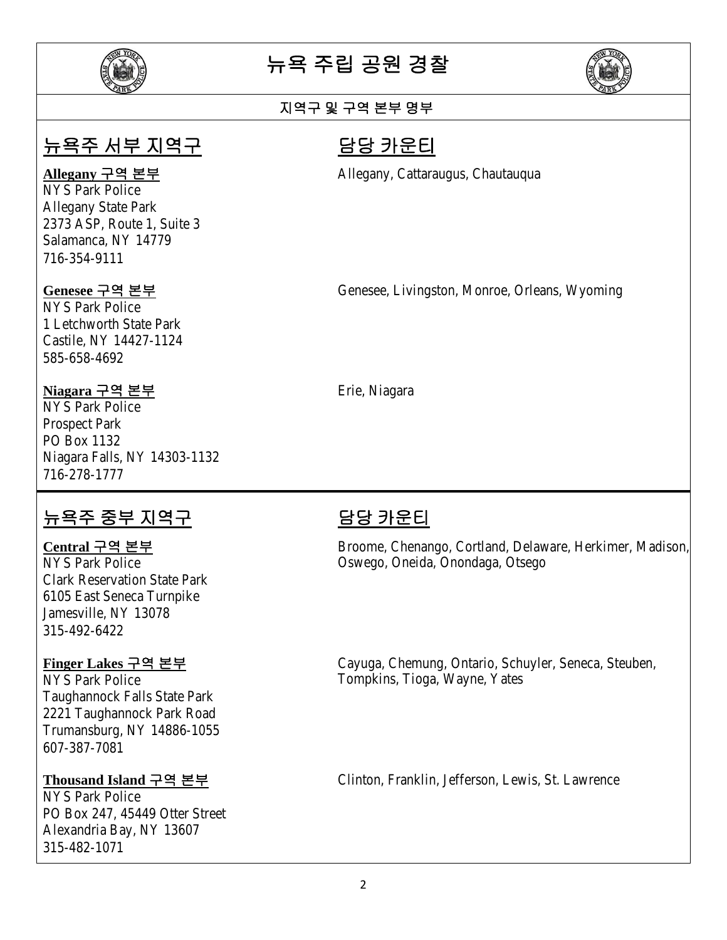



## 지역구 및 구역 본부 명부

## 뉴욕주 서부 지역구 담당 카운티

NYS Park Police Allegany State Park 2373 ASP, Route 1, Suite 3 Salamanca, NY 14779 716-354-9111

NYS Park Police 1 Letchworth State Park Castile, NY 14427-1124 585-658-4692

### **Niagara** 구역 본부 Erie, Niagara

NYS Park Police Prospect Park PO Box 1132 Niagara Falls, NY 14303-1132 716-278-1777

## <u>뉴욕주 중부 지역구 The Telen The 담당 카운티</u>

Clark Reservation State Park 6105 East Seneca Turnpike Jamesville, NY 13078 315-492-6422

Taughannock Falls State Park 2221 Taughannock Park Road Trumansburg, NY 14886-1055 607-387-7081

NYS Park Police PO Box 247, 45449 Otter Street Alexandria Bay, NY 13607 315-482-1071

**Allegany** 구역 본부 Allegany, Cattaraugus, Chautauqua

**Genesee** 구역 본부 Genesee, Livingston, Monroe, Orleans, Wyoming

**Central** 구역 본부 Broome, Chenango, Cortland, Delaware, Herkimer, Madison, Oswego, Oneida, Onondaga, Otsego

**Finger Lakes** 구역 본부 Cayuga, Chemung, Ontario, Schuyler, Seneca, Steuben, NYS Park Police Tompkins, Tioga, Wayne, Yates

**Thousand Island** 구역 본부 Clinton, Franklin, Jefferson, Lewis, St. Lawrence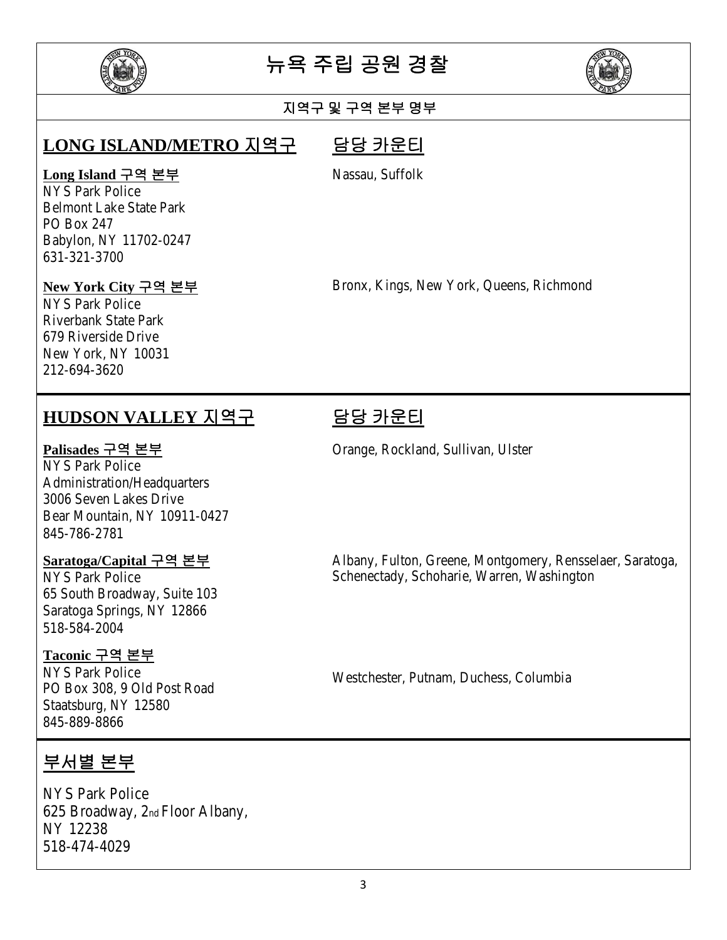



### 지역구 및 구역 본부 명부

## **LONG ISLAND/METRO** 지역구 담당 카운티

### **Long Island** 구역 본부

NYS Park Police Belmont Lake State Park PO Box 247 Babylon, NY 11702-0247 631-321-3700

### **New York City** 구역 본부

NYS Park Police Riverbank State Park 679 Riverside Drive New York, NY 10031 212-694-3620

## **HUDSON VALLEY** 지역구 담당 카운티

NYS Park Police Administration/Headquarters 3006 Seven Lakes Drive Bear Mountain, NY 10911-0427 845-786-2781

65 South Broadway, Suite 103 Saratoga Springs, NY 12866 518-584-2004

### **Taconic** 구역 본부

NYS Park Police NYS Park Police<br>PO Box 308, 9 Old Post Road Westchester, Putnam, Duchess, Columbia Staatsburg, NY 12580 845-889-8866

## 부서별 본부

NYS Park Police 625 Broadway, 2nd Floor Albany, NY 12238 518-474-4029

Nassau, Suffolk

Bronx, Kings, New York, Queens, Richmond

**Palisades** 구역 본부 Orange, Rockland, Sullivan, Ulster

**Saratoga/Capital** 구역 본부 Albany, Fulton, Greene, Montgomery, Rensselaer, Saratoga, NYS Park Police Schenectady, Schoharie, Warren, Washington